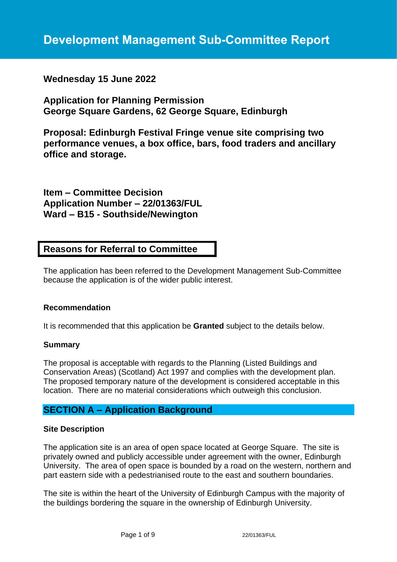# **Wednesday 15 June 2022**

**Application for Planning Permission George Square Gardens, 62 George Square, Edinburgh**

**Proposal: Edinburgh Festival Fringe venue site comprising two performance venues, a box office, bars, food traders and ancillary office and storage.**

**Item – Committee Decision Application Number – 22/01363/FUL Ward – B15 - Southside/Newington**

# **Reasons for Referral to Committee**

The application has been referred to the Development Management Sub-Committee because the application is of the wider public interest.

## **Recommendation**

It is recommended that this application be **Granted** subject to the details below.

#### **Summary**

The proposal is acceptable with regards to the Planning (Listed Buildings and Conservation Areas) (Scotland) Act 1997 and complies with the development plan. The proposed temporary nature of the development is considered acceptable in this location. There are no material considerations which outweigh this conclusion.

# **SECTION A – Application Background**

## **Site Description**

The application site is an area of open space located at George Square. The site is privately owned and publicly accessible under agreement with the owner, Edinburgh University. The area of open space is bounded by a road on the western, northern and part eastern side with a pedestrianised route to the east and southern boundaries.

The site is within the heart of the University of Edinburgh Campus with the majority of the buildings bordering the square in the ownership of Edinburgh University.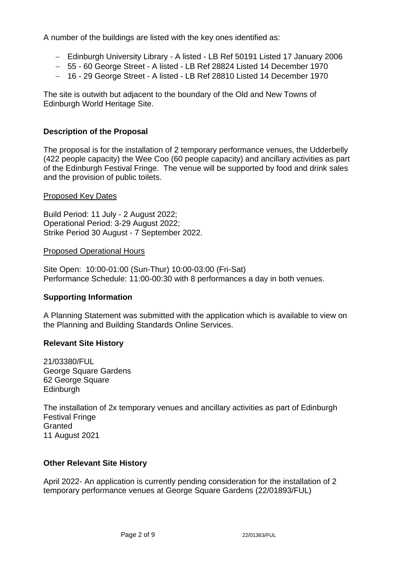A number of the buildings are listed with the key ones identified as:

- − Edinburgh University Library A listed LB Ref 50191 Listed 17 January 2006
- − 55 60 George Street A listed LB Ref 28824 Listed 14 December 1970
- − 16 29 George Street A listed LB Ref 28810 Listed 14 December 1970

The site is outwith but adjacent to the boundary of the Old and New Towns of Edinburgh World Heritage Site.

## **Description of the Proposal**

The proposal is for the installation of 2 temporary performance venues, the Udderbelly (422 people capacity) the Wee Coo (60 people capacity) and ancillary activities as part of the Edinburgh Festival Fringe. The venue will be supported by food and drink sales and the provision of public toilets.

## Proposed Key Dates

Build Period: 11 July - 2 August 2022; Operational Period: 3-29 August 2022; Strike Period 30 August - 7 September 2022.

### Proposed Operational Hours

Site Open: 10:00-01:00 (Sun-Thur) 10:00-03:00 (Fri-Sat) Performance Schedule: 11:00-00:30 with 8 performances a day in both venues.

## **Supporting Information**

A Planning Statement was submitted with the application which is available to view on the Planning and Building Standards Online Services.

## **Relevant Site History**

21/03380/FUL George Square Gardens 62 George Square **Edinburgh** 

The installation of 2x temporary venues and ancillary activities as part of Edinburgh Festival Fringe **Granted** 11 August 2021

## **Other Relevant Site History**

April 2022- An application is currently pending consideration for the installation of 2 temporary performance venues at George Square Gardens (22/01893/FUL)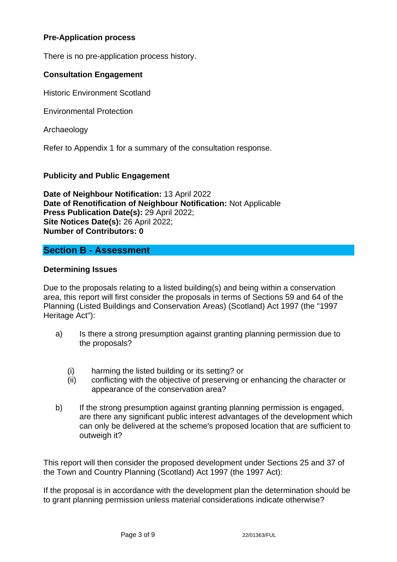# **Pre-Application process**

There is no pre-application process history.

## **Consultation Engagement**

Historic Environment Scotland

Environmental Protection

Archaeology

Refer to Appendix 1 for a summary of the consultation response.

## **Publicity and Public Engagement**

**Date of Neighbour Notification:** 13 April 2022 **Date of Renotification of Neighbour Notification:** Not Applicable **Press Publication Date(s):** 29 April 2022; **Site Notices Date(s):** 26 April 2022; **Number of Contributors: 0**

# **Section B - Assessment**

### **Determining Issues**

Due to the proposals relating to a listed building(s) and being within a conservation area, this report will first consider the proposals in terms of Sections 59 and 64 of the Planning (Listed Buildings and Conservation Areas) (Scotland) Act 1997 (the "1997 Heritage Act"):

- a) Is there a strong presumption against granting planning permission due to the proposals?
	- (i) harming the listed building or its setting? or
	- (ii) conflicting with the objective of preserving or enhancing the character or appearance of the conservation area?
- b) If the strong presumption against granting planning permission is engaged, are there any significant public interest advantages of the development which can only be delivered at the scheme's proposed location that are sufficient to outweigh it?

This report will then consider the proposed development under Sections 25 and 37 of the Town and Country Planning (Scotland) Act 1997 (the 1997 Act):

If the proposal is in accordance with the development plan the determination should be to grant planning permission unless material considerations indicate otherwise?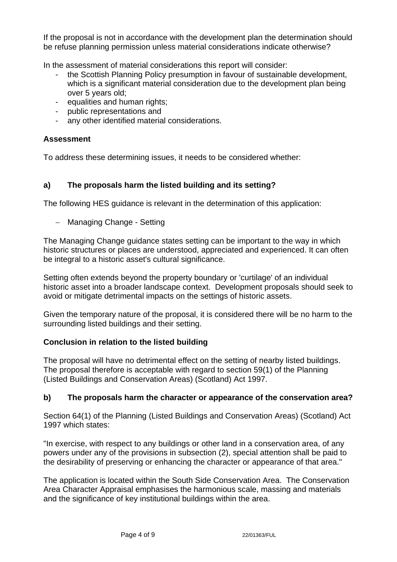If the proposal is not in accordance with the development plan the determination should be refuse planning permission unless material considerations indicate otherwise?

In the assessment of material considerations this report will consider:

- the Scottish Planning Policy presumption in favour of sustainable development, which is a significant material consideration due to the development plan being over 5 years old;
- equalities and human rights;
- public representations and
- any other identified material considerations.

## **Assessment**

To address these determining issues, it needs to be considered whether:

## **a) The proposals harm the listed building and its setting?**

The following HES guidance is relevant in the determination of this application:

− Managing Change - Setting

The Managing Change guidance states setting can be important to the way in which historic structures or places are understood, appreciated and experienced. It can often be integral to a historic asset's cultural significance.

Setting often extends beyond the property boundary or 'curtilage' of an individual historic asset into a broader landscape context. Development proposals should seek to avoid or mitigate detrimental impacts on the settings of historic assets.

Given the temporary nature of the proposal, it is considered there will be no harm to the surrounding listed buildings and their setting.

## **Conclusion in relation to the listed building**

The proposal will have no detrimental effect on the setting of nearby listed buildings. The proposal therefore is acceptable with regard to section 59(1) of the Planning (Listed Buildings and Conservation Areas) (Scotland) Act 1997.

## **b) The proposals harm the character or appearance of the conservation area?**

Section 64(1) of the Planning (Listed Buildings and Conservation Areas) (Scotland) Act 1997 which states:

"In exercise, with respect to any buildings or other land in a conservation area, of any powers under any of the provisions in subsection (2), special attention shall be paid to the desirability of preserving or enhancing the character or appearance of that area."

The application is located within the South Side Conservation Area. The Conservation Area Character Appraisal emphasises the harmonious scale, massing and materials and the significance of key institutional buildings within the area.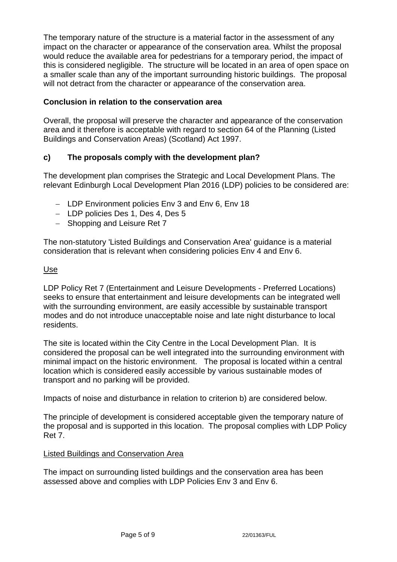The temporary nature of the structure is a material factor in the assessment of any impact on the character or appearance of the conservation area. Whilst the proposal would reduce the available area for pedestrians for a temporary period, the impact of this is considered negligible. The structure will be located in an area of open space on a smaller scale than any of the important surrounding historic buildings. The proposal will not detract from the character or appearance of the conservation area.

# **Conclusion in relation to the conservation area**

Overall, the proposal will preserve the character and appearance of the conservation area and it therefore is acceptable with regard to section 64 of the Planning (Listed Buildings and Conservation Areas) (Scotland) Act 1997.

# **c) The proposals comply with the development plan?**

The development plan comprises the Strategic and Local Development Plans. The relevant Edinburgh Local Development Plan 2016 (LDP) policies to be considered are:

- − LDP Environment policies Env 3 and Env 6, Env 18
- − LDP policies Des 1, Des 4, Des 5
- − Shopping and Leisure Ret 7

The non-statutory 'Listed Buildings and Conservation Area' guidance is a material consideration that is relevant when considering policies Env 4 and Env 6.

## Use

LDP Policy Ret 7 (Entertainment and Leisure Developments - Preferred Locations) seeks to ensure that entertainment and leisure developments can be integrated well with the surrounding environment, are easily accessible by sustainable transport modes and do not introduce unacceptable noise and late night disturbance to local residents.

The site is located within the City Centre in the Local Development Plan. It is considered the proposal can be well integrated into the surrounding environment with minimal impact on the historic environment. The proposal is located within a central location which is considered easily accessible by various sustainable modes of transport and no parking will be provided.

Impacts of noise and disturbance in relation to criterion b) are considered below.

The principle of development is considered acceptable given the temporary nature of the proposal and is supported in this location. The proposal complies with LDP Policy Ret 7.

# Listed Buildings and Conservation Area

The impact on surrounding listed buildings and the conservation area has been assessed above and complies with LDP Policies Env 3 and Env 6.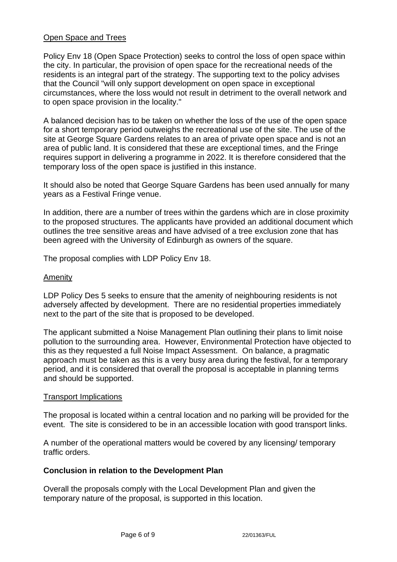## Open Space and Trees

Policy Env 18 (Open Space Protection) seeks to control the loss of open space within the city. In particular, the provision of open space for the recreational needs of the residents is an integral part of the strategy. The supporting text to the policy advises that the Council "will only support development on open space in exceptional circumstances, where the loss would not result in detriment to the overall network and to open space provision in the locality."

A balanced decision has to be taken on whether the loss of the use of the open space for a short temporary period outweighs the recreational use of the site. The use of the site at George Square Gardens relates to an area of private open space and is not an area of public land. It is considered that these are exceptional times, and the Fringe requires support in delivering a programme in 2022. It is therefore considered that the temporary loss of the open space is justified in this instance.

It should also be noted that George Square Gardens has been used annually for many years as a Festival Fringe venue.

In addition, there are a number of trees within the gardens which are in close proximity to the proposed structures. The applicants have provided an additional document which outlines the tree sensitive areas and have advised of a tree exclusion zone that has been agreed with the University of Edinburgh as owners of the square.

The proposal complies with LDP Policy Env 18.

### Amenity

LDP Policy Des 5 seeks to ensure that the amenity of neighbouring residents is not adversely affected by development. There are no residential properties immediately next to the part of the site that is proposed to be developed.

The applicant submitted a Noise Management Plan outlining their plans to limit noise pollution to the surrounding area. However, Environmental Protection have objected to this as they requested a full Noise Impact Assessment. On balance, a pragmatic approach must be taken as this is a very busy area during the festival, for a temporary period, and it is considered that overall the proposal is acceptable in planning terms and should be supported.

#### Transport Implications

The proposal is located within a central location and no parking will be provided for the event. The site is considered to be in an accessible location with good transport links.

A number of the operational matters would be covered by any licensing/ temporary traffic orders.

## **Conclusion in relation to the Development Plan**

Overall the proposals comply with the Local Development Plan and given the temporary nature of the proposal, is supported in this location.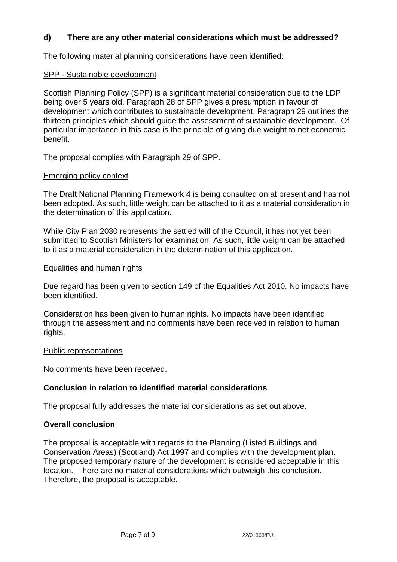## **d) There are any other material considerations which must be addressed?**

The following material planning considerations have been identified:

### SPP - Sustainable development

Scottish Planning Policy (SPP) is a significant material consideration due to the LDP being over 5 years old. Paragraph 28 of SPP gives a presumption in favour of development which contributes to sustainable development. Paragraph 29 outlines the thirteen principles which should guide the assessment of sustainable development. Of particular importance in this case is the principle of giving due weight to net economic benefit.

The proposal complies with Paragraph 29 of SPP.

### Emerging policy context

The Draft National Planning Framework 4 is being consulted on at present and has not been adopted. As such, little weight can be attached to it as a material consideration in the determination of this application.

While City Plan 2030 represents the settled will of the Council, it has not yet been submitted to Scottish Ministers for examination. As such, little weight can be attached to it as a material consideration in the determination of this application.

### Equalities and human rights

Due regard has been given to section 149 of the Equalities Act 2010. No impacts have been identified.

Consideration has been given to human rights. No impacts have been identified through the assessment and no comments have been received in relation to human rights.

#### Public representations

No comments have been received.

## **Conclusion in relation to identified material considerations**

The proposal fully addresses the material considerations as set out above.

#### **Overall conclusion**

The proposal is acceptable with regards to the Planning (Listed Buildings and Conservation Areas) (Scotland) Act 1997 and complies with the development plan. The proposed temporary nature of the development is considered acceptable in this location. There are no material considerations which outweigh this conclusion. Therefore, the proposal is acceptable.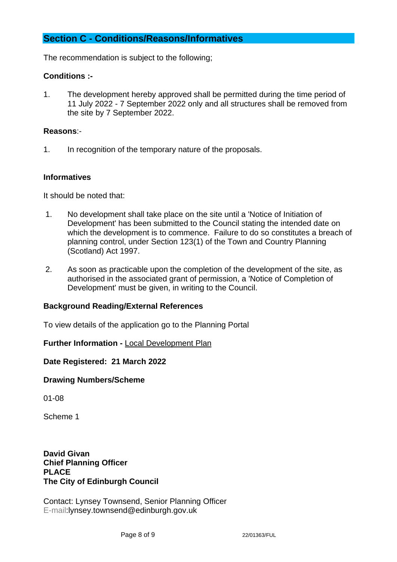# **Section C - Conditions/Reasons/Informatives**

The recommendation is subject to the following;

## **Conditions :-**

1. The development hereby approved shall be permitted during the time period of 11 July 2022 - 7 September 2022 only and all structures shall be removed from the site by 7 September 2022.

## **Reasons**:-

1. In recognition of the temporary nature of the proposals.

## **Informatives**

It should be noted that:

- 1. No development shall take place on the site until a 'Notice of Initiation of Development' has been submitted to the Council stating the intended date on which the development is to commence. Failure to do so constitutes a breach of planning control, under Section 123(1) of the Town and Country Planning (Scotland) Act 1997.
- 2. As soon as practicable upon the completion of the development of the site, as authorised in the associated grant of permission, a 'Notice of Completion of Development' must be given, in writing to the Council.

## **Background Reading/External References**

To view details of the application go to the Planning Portal

## **Further Information -** [Local Development Plan](https://www.edinburgh.gov.uk/local-development-plan-guidance-1/edinburgh-local-development-plan/1)

**Date Registered: 21 March 2022**

## **Drawing Numbers/Scheme**

01-08

Scheme 1

**David Givan Chief Planning Officer PLACE The City of Edinburgh Council**

Contact: Lynsey Townsend, Senior Planning Officer E-mail:lynsey.townsend@edinburgh.gov.uk